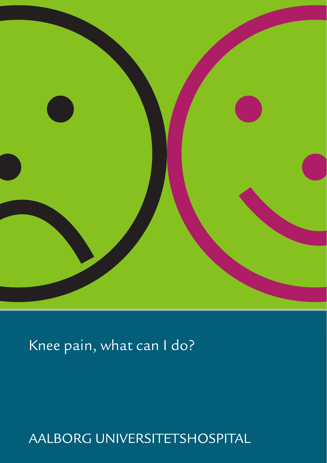

# Knee pain, what can I do?

# AALBORG UNIVERSITETSHOSPITAL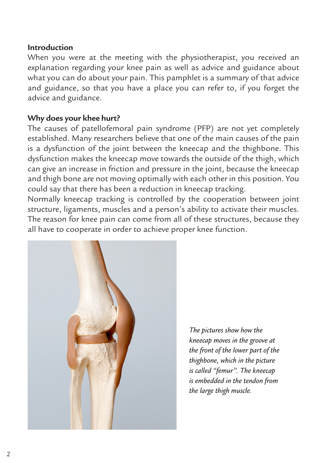#### **Introduction**

When you were at the meeting with the physiotherapist, you received an explanation regarding your knee pain as well as advice and guidance about what you can do about your pain. This pamphlet is a summary of that advice and guidance, so that you have a place you can refer to, if you forget the advice and guidance.

## **Why does your khee hurt?**

The causes of patellofemoral pain syndrome (PFP) are not yet completely established. Many researchers believe that one of the main causes of the pain is a dysfunction of the joint between the kneecap and the thighbone. This dysfunction makes the kneecap move towards the outside of the thigh, which can give an increase in friction and pressure in the joint, because the kneecap and thigh bone are not moving optimally with each other in this position. You could say that there has been a reduction in kneecap tracking.

Normally kneecap tracking is controlled by the cooperation between joint structure, ligaments, muscles and a person's ability to activate their muscles. The reason for knee pain can come from all of these structures, because they all have to cooperate in order to achieve proper knee function.



*The pictures show how the kneecap moves in the groove at the front of the lower part of the thighbone, which in the picture is called "femur". The kneecap is embedded in the tendon from the large thigh muscle.*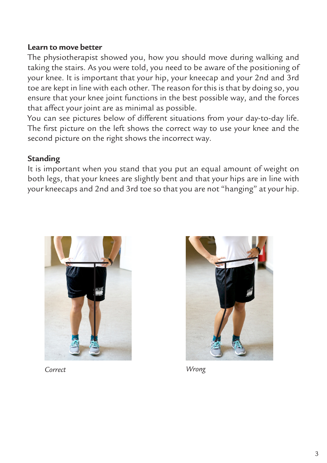## **Learn to move better**

The physiotherapist showed you, how you should move during walking and taking the stairs. As you were told, you need to be aware of the positioning of your knee. It is important that your hip, your kneecap and your 2nd and 3rd toe are kept in line with each other. The reason for this is that by doing so, you ensure that your knee joint functions in the best possible way, and the forces that affect your joint are as minimal as possible.

You can see pictures below of different situations from your day-to-day life. The first picture on the left shows the correct way to use your knee and the second picture on the right shows the incorrect way.

# **Standing**

It is important when you stand that you put an equal amount of weight on both legs, that your knees are slightly bent and that your hips are in line with your kneecaps and 2nd and 3rd toe so that you are not "hanging" at your hip.





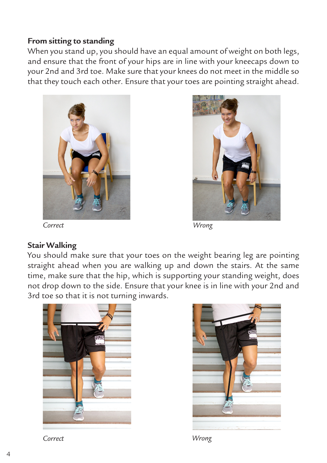#### **From sitting to standing**

When you stand up, you should have an equal amount of weight on both legs, and ensure that the front of your hips are in line with your kneecaps down to your 2nd and 3rd toe. Make sure that your knees do not meet in the middle so that they touch each other. Ensure that your toes are pointing straight ahead.





*Correct Wrong*

# **Stair Walking**

You should make sure that your toes on the weight bearing leg are pointing straight ahead when you are walking up and down the stairs. At the same time, make sure that the hip, which is supporting your standing weight, does not drop down to the side. Ensure that your knee is in line with your 2nd and 3rd toe so that it is not turning inwards.





*Correct Wrong*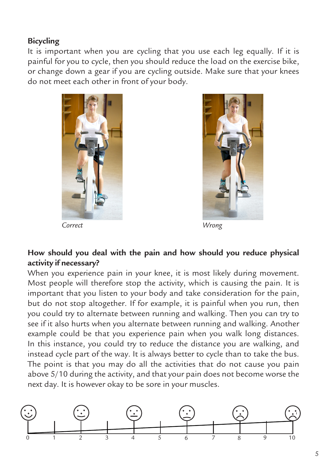# **Bicycling**

It is important when you are cycling that you use each leg equally. If it is painful for you to cycle, then you should reduce the load on the exercise bike, or change down a gear if you are cycling outside. Make sure that your knees do not meet each other in front of your body.



*Correct Wrong*



# **How should you deal with the pain and how should you reduce physical activity if necessary?**

When you experience pain in your knee, it is most likely during movement. Most people will therefore stop the activity, which is causing the pain. It is important that you listen to your body and take consideration for the pain, but do not stop altogether. If for example, it is painful when you run, then you could try to alternate between running and walking. Then you can try to see if it also hurts when you alternate between running and walking. Another example could be that you experience pain when you walk long distances. In this instance, you could try to reduce the distance you are walking, and instead cycle part of the way. It is always better to cycle than to take the bus. The point is that you may do all the activities that do not cause you pain above 5/10 during the activity, and that your pain does not become worse the next day. It is however okay to be sore in your muscles.

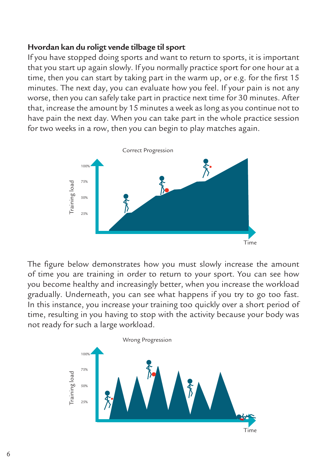# **Hvordan kan du roligt vende tilbage til sport**

If you have stopped doing sports and want to return to sports, it is important that you start up again slowly. If you normally practice sport for one hour at a time, then you can start by taking part in the warm up, or e.g. for the first 15 minutes. The next day, you can evaluate how you feel. If your pain is not any worse, then you can safely take part in practice next time for 30 minutes. After that, increase the amount by 15 minutes a week as long as you continue not to have pain the next day. When you can take part in the whole practice session for two weeks in a row, then you can begin to play matches again.



The figure below demonstrates how you must slowly increase the amount of time you are training in order to return to your sport. You can see how you become healthy and increasingly better, when you increase the workload gradually. Underneath, you can see what happens if you try to go too fast. In this instance, you increase your training too quickly over a short period of time, resulting in you having to stop with the activity because your body was not ready for such a large workload.

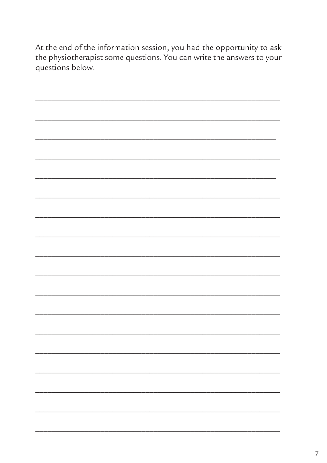At the end of the information session, you had the opportunity to ask<br>the physiotherapist some questions. You can write the answers to your questions below.